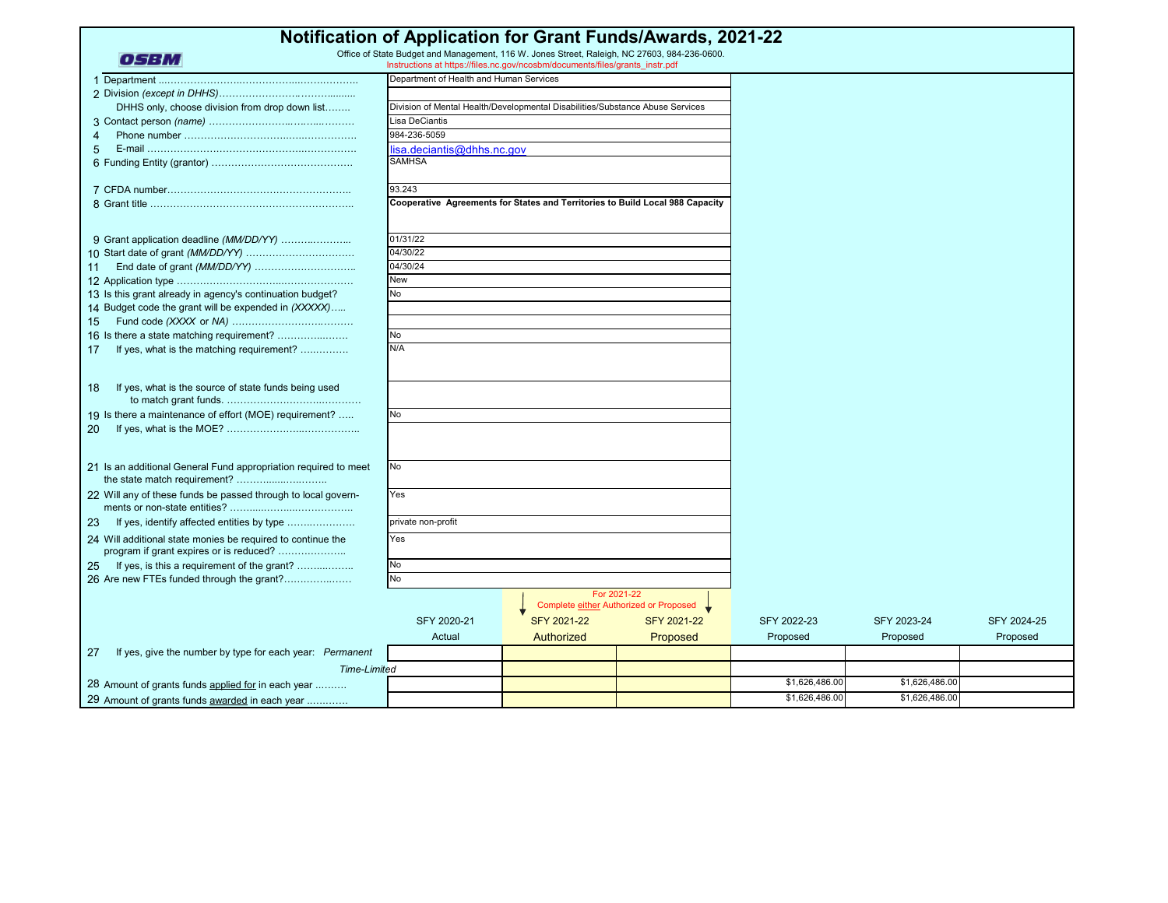| <b>Notification of Application for Grant Funds/Awards, 2021-22</b>                                     |                                                                               |                    |                                        |                |                |             |  |
|--------------------------------------------------------------------------------------------------------|-------------------------------------------------------------------------------|--------------------|----------------------------------------|----------------|----------------|-------------|--|
| Office of State Budget and Management, 116 W. Jones Street, Raleigh, NC 27603, 984-236-0600.           |                                                                               |                    |                                        |                |                |             |  |
| OSBM                                                                                                   | Instructions at https://files.nc.gov/ncosbm/documents/files/grants instr.pdf  |                    |                                        |                |                |             |  |
|                                                                                                        | Department of Health and Human Services                                       |                    |                                        |                |                |             |  |
|                                                                                                        |                                                                               |                    |                                        |                |                |             |  |
| DHHS only, choose division from drop down list                                                         | Division of Mental Health/Developmental Disabilities/Substance Abuse Services |                    |                                        |                |                |             |  |
|                                                                                                        | <b>Lisa DeCiantis</b>                                                         |                    |                                        |                |                |             |  |
| $\overline{4}$                                                                                         | 984-236-5059                                                                  |                    |                                        |                |                |             |  |
| 5                                                                                                      | lisa.deciantis@dhhs.nc.gov                                                    |                    |                                        |                |                |             |  |
|                                                                                                        | <b>SAMHSA</b>                                                                 |                    |                                        |                |                |             |  |
|                                                                                                        | 93.243                                                                        |                    |                                        |                |                |             |  |
|                                                                                                        | Cooperative Agreements for States and Territories to Build Local 988 Capacity |                    |                                        |                |                |             |  |
|                                                                                                        |                                                                               |                    |                                        |                |                |             |  |
| 9 Grant application deadline (MM/DD/YY)                                                                | 01/31/22                                                                      |                    |                                        |                |                |             |  |
|                                                                                                        | 04/30/22                                                                      |                    |                                        |                |                |             |  |
| 11                                                                                                     | 04/30/24                                                                      |                    |                                        |                |                |             |  |
|                                                                                                        | <b>New</b>                                                                    |                    |                                        |                |                |             |  |
| 13 Is this grant already in agency's continuation budget?                                              | N <sub>o</sub>                                                                |                    |                                        |                |                |             |  |
| 14 Budget code the grant will be expended in (XXXXX)                                                   |                                                                               |                    |                                        |                |                |             |  |
| 15                                                                                                     |                                                                               |                    |                                        |                |                |             |  |
| 16 Is there a state matching requirement?                                                              | No                                                                            |                    |                                        |                |                |             |  |
| If yes, what is the matching requirement?<br>17                                                        | N/A                                                                           |                    |                                        |                |                |             |  |
|                                                                                                        |                                                                               |                    |                                        |                |                |             |  |
| If yes, what is the source of state funds being used<br>18                                             |                                                                               |                    |                                        |                |                |             |  |
|                                                                                                        |                                                                               |                    |                                        |                |                |             |  |
| 19 Is there a maintenance of effort (MOE) requirement?                                                 | No                                                                            |                    |                                        |                |                |             |  |
| 20                                                                                                     |                                                                               |                    |                                        |                |                |             |  |
|                                                                                                        |                                                                               |                    |                                        |                |                |             |  |
| 21 Is an additional General Fund appropriation required to meet                                        | No                                                                            |                    |                                        |                |                |             |  |
| the state match requirement?                                                                           |                                                                               |                    |                                        |                |                |             |  |
| 22 Will any of these funds be passed through to local govern-                                          | Yes                                                                           |                    |                                        |                |                |             |  |
|                                                                                                        |                                                                               |                    |                                        |                |                |             |  |
| If yes, identify affected entities by type<br>23                                                       | private non-profit                                                            |                    |                                        |                |                |             |  |
| 24 Will additional state monies be required to continue the<br>program if grant expires or is reduced? | Yes                                                                           |                    |                                        |                |                |             |  |
| If yes, is this a requirement of the grant?<br>25                                                      | <b>No</b>                                                                     |                    |                                        |                |                |             |  |
| 26 Are new FTEs funded through the grant?                                                              | N <sub>o</sub>                                                                |                    |                                        |                |                |             |  |
|                                                                                                        |                                                                               |                    | For 2021-22                            |                |                |             |  |
|                                                                                                        |                                                                               |                    | Complete either Authorized or Proposed |                |                |             |  |
|                                                                                                        | SFY 2020-21                                                                   | <b>SFY 2021-22</b> | <b>SFY 2021-22</b>                     | SFY 2022-23    | SFY 2023-24    | SFY 2024-25 |  |
|                                                                                                        | Actual                                                                        | Authorized         | Proposed                               | Proposed       | Proposed       | Proposed    |  |
| If yes, give the number by type for each year: Permanent<br>27                                         |                                                                               |                    |                                        |                |                |             |  |
| <b>Time-Limited</b>                                                                                    |                                                                               |                    |                                        |                |                |             |  |
| 28 Amount of grants funds applied for in each year                                                     |                                                                               |                    |                                        | \$1,626,486.00 | \$1,626,486.00 |             |  |
| 29 Amount of grants funds awarded in each year                                                         |                                                                               |                    |                                        | \$1,626,486.00 | \$1,626,486.00 |             |  |